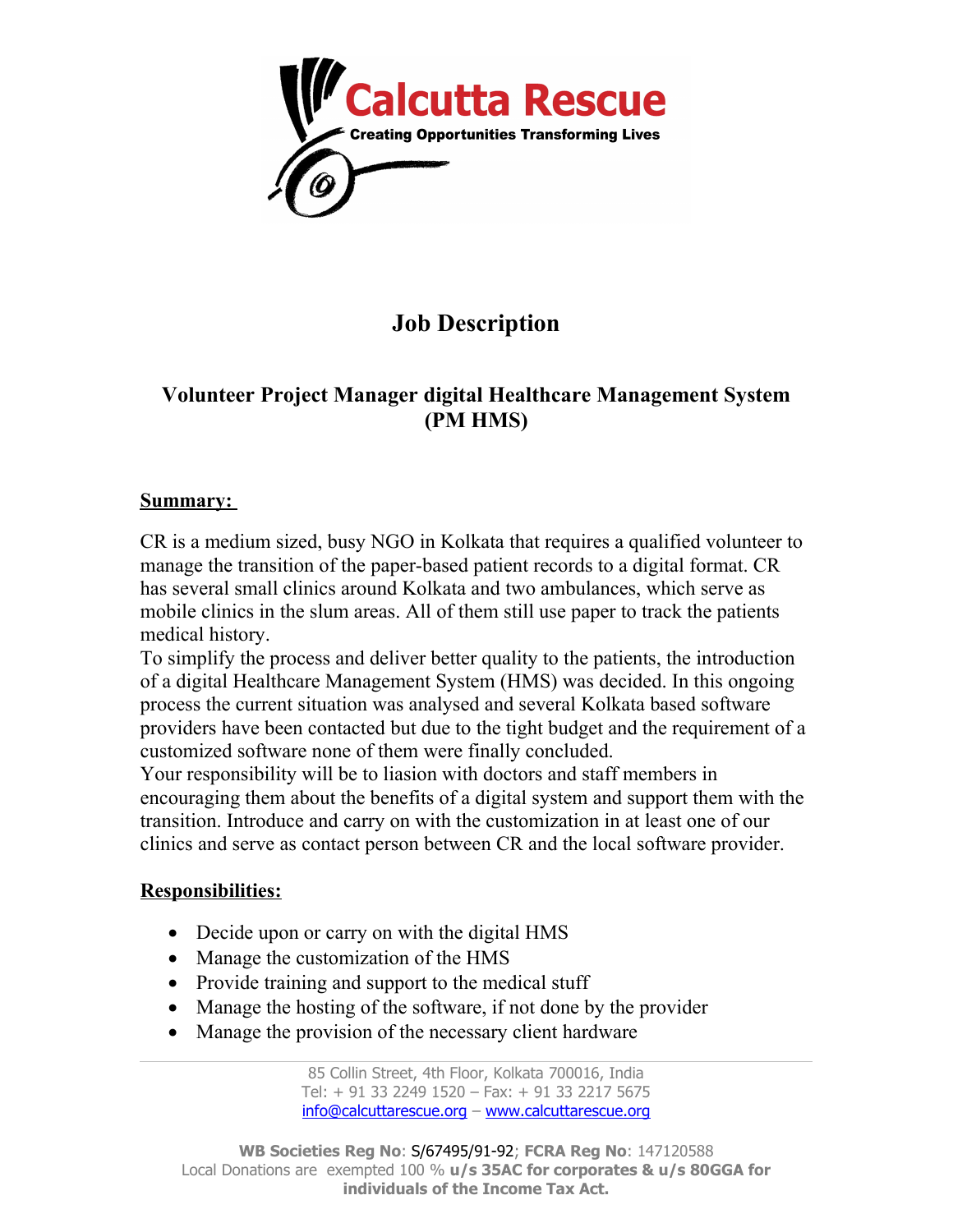

# **Job Description**

# **Volunteer Project Manager digital Healthcare Management System (PM HMS)**

#### **Summary:**

CR is a medium sized, busy NGO in Kolkata that requires a qualified volunteer to manage the transition of the paper-based patient records to a digital format. CR has several small clinics around Kolkata and two ambulances, which serve as mobile clinics in the slum areas. All of them still use paper to track the patients medical history.

To simplify the process and deliver better quality to the patients, the introduction of a digital Healthcare Management System (HMS) was decided. In this ongoing process the current situation was analysed and several Kolkata based software providers have been contacted but due to the tight budget and the requirement of a customized software none of them were finally concluded.

Your responsibility will be to liasion with doctors and staff members in encouraging them about the benefits of a digital system and support them with the transition. Introduce and carry on with the customization in at least one of our clinics and serve as contact person between CR and the local software provider.

#### **Responsibilities:**

- Decide upon or carry on with the digital HMS
- Manage the customization of the HMS
- Provide training and support to the medical stuff
- Manage the hosting of the software, if not done by the provider
- Manage the provision of the necessary client hardware

85 Collin Street, 4th Floor, Kolkata 700016, India Tel: + 91 33 2249 1520 – Fax: + 91 33 2217 5675 [info@calcuttarescue.org](mailto:info@calcuttarescue.org) – [www.calcuttarescue.org](http://www.calcuttarescue.org/)